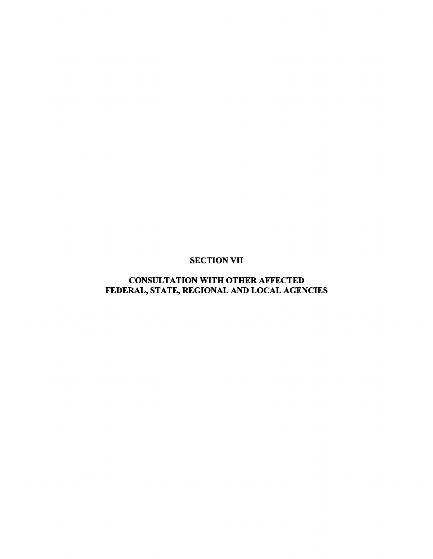### SECTION VII

# CONSULTATION WITH OTHER AFFECTED FEDERAL, STATE, REGIONAL AND LOCAL AGENCIES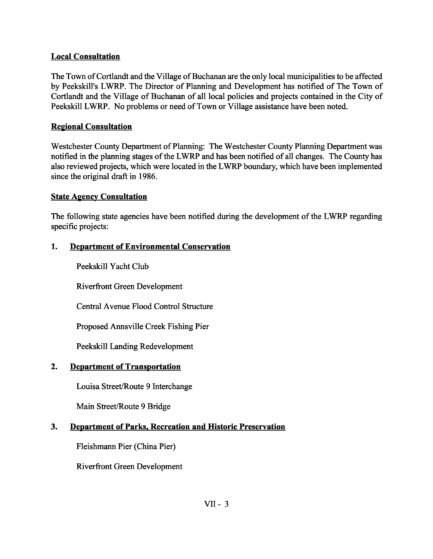#### **Local Consultation**

The Town of Cortlandt and the Village of Buchanan are the only local municipalities to be affected by Peekskill's LWRP. The Director of Planning and Development has notified of The Town of Cortlandt and the Village of Buchanan of all local policies and projects contained in the City of Peekskill LWRP. No problems or need of Town or Village assistance have been noted.

#### **Re2ional Consultation**

Westchester County Department of Planning: The Westchester County Planning Department was notified in the planning stages of the LWRP and has been notified of all changes. The County has also reviewed projects, which were located in the LWRP boundary, which have been implemented since the original draft in 1986.

#### **State Agency Consultation**

The following state agencies have been notified during the development of the LWRP regarding specific projects:

### 1. **Department of Environmental Conservation**

Peekskill Yacht Club

Riverfront Green Development

Central Avenue Flood Control Structure

Proposed Annsville Creek Fishing Pier

Peekskill Landing Redevelopment

### **2. Department of Transportation**

Louisa Street/Route 9 Interchange

Main Street/Route 9 Bridge

### **3. Department of Parks. Recreation and Historic Preservation**

Fleishmann Pier (China Pier)

Riverfront Green Development